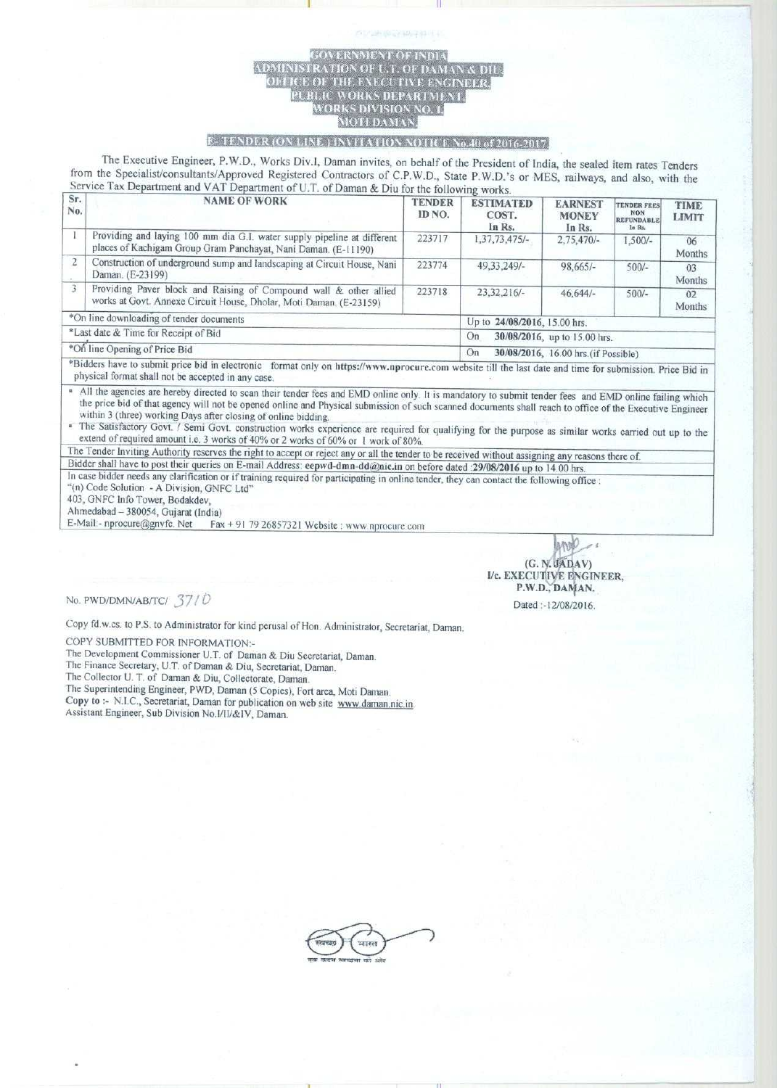## **ERATION OF U.T. OF** DEFICE OF THE EXECUTIVE **ULBLIC WORKS DEPARTME**<br>WORKS DIVISION NO. 1, IOTI DAMA

I <sup>11</sup>

## **F-TENDER (ON LINE.) INVITATION NOTICE No.40 of 2016-2017.**

**The Executive Engineer, P.W.D., Works Div.l, Daman invites, on behalf of the President of India**, **the sealed item rates Tenders from the Specialist**/**consultants**/**Approved Registered Contractors** of C.P**.W.D., State P.W.D.'s or MES**, **railways, and also, with the** Service Tax Department and VAT Department of U.T. of Daman & Diu for the following works.

| Sr.<br>No.                               | <b>NAME OF WORK</b>                                                                                                                                                                                                                                                                                                                                                                                                                                          | <b>TENDER</b><br>ID NO. | <b>ESTIMATED</b><br>COST.<br>In Rs.        | <b>EARNEST</b><br><b>MONEY</b><br>In Rs. | <b>TENDER FRES</b><br><b>NON</b><br><b>REFUNDABLE</b><br>In Rs. | <b>TIME</b><br><b>LIMIT</b> |  |
|------------------------------------------|--------------------------------------------------------------------------------------------------------------------------------------------------------------------------------------------------------------------------------------------------------------------------------------------------------------------------------------------------------------------------------------------------------------------------------------------------------------|-------------------------|--------------------------------------------|------------------------------------------|-----------------------------------------------------------------|-----------------------------|--|
|                                          | Providing and laying 100 mm dia G.I. water supply pipeline at different<br>places of Kachigam Group Gram Panchayat, Nani Daman. (E-11190)                                                                                                                                                                                                                                                                                                                    | 223717                  | 1,37,73,475/-                              | $2,75,470/-$                             | $1,500/-$                                                       | 06<br>Months                |  |
| $\overline{2}$                           | Construction of underground sump and landscaping at Circuit House, Nani<br>Daman. (E-23199)                                                                                                                                                                                                                                                                                                                                                                  | 223774                  | 49.33.249/-                                | $98,665/-$                               | $500/-$                                                         | 03<br>Months                |  |
| 3                                        | Providing Paver block and Raising of Compound wall & other allied<br>works at Govt. Annexe Circuit House, Dholar, Moti Daman. (E-23159)                                                                                                                                                                                                                                                                                                                      | 223718                  | $23.32.216/-$                              | $46,644/-$                               | $500/-$                                                         | 02<br>Months                |  |
| *On line downloading of tender documents |                                                                                                                                                                                                                                                                                                                                                                                                                                                              |                         | Up to 24/08/2016, 15.00 hrs.               |                                          |                                                                 |                             |  |
| *Last date & Time for Receipt of Bid     |                                                                                                                                                                                                                                                                                                                                                                                                                                                              |                         | 30/08/2016, up to 15.00 hrs.<br>On         |                                          |                                                                 |                             |  |
| *On line Opening of Price Bid            |                                                                                                                                                                                                                                                                                                                                                                                                                                                              |                         | 30/08/2016, 16.00 hrs. (if Possible)<br>On |                                          |                                                                 |                             |  |
|                                          | $\mathcal{A} = \mathcal{A} + \mathcal{A} + \mathcal{A} + \mathcal{A} + \mathcal{A} + \mathcal{A} + \mathcal{A} + \mathcal{A} + \mathcal{A} + \mathcal{A} + \mathcal{A} + \mathcal{A} + \mathcal{A} + \mathcal{A} + \mathcal{A} + \mathcal{A} + \mathcal{A} + \mathcal{A} + \mathcal{A} + \mathcal{A} + \mathcal{A} + \mathcal{A} + \mathcal{A} + \mathcal{A} + \mathcal{A} + \mathcal{A} + \mathcal{A} + \mathcal{A} + \mathcal{A} + \mathcal{A} + \mathcal$ |                         |                                            |                                          |                                                                 |                             |  |

\*Bidders have to submit price bid in electronic format only on https://www.nprocure.com website till the last date and time for submission. Price Bid in physical format shall not be accepted in any case.

• All the agencies are hereby directed to scan their tender fees and EMD online only. It is mandatory to submit tender fees and EMD online failing which the price bid of that agency will not be opened online and Physical submission of such scanned documents shall reach to office of the Executive Engineer within 3 (three) working Days after closing of online bidding.

• The Satisfactory Govt. / Semi Govt. construction works experience are required for qualifying for the purpose as similar works carried out up to the extend of required amount i.e. 3 works of 40% or 2 works of 60% or I work of 80%.

The Tender Inviting Authority reserves the right to accept or reject any or all the tender to be received without assigning any reasons there of.

Bidder shall have to post their queries on E-mail Address; eepwd-dmn-dd@nic.in on before dated :29/08/2016 up to 14.00 hrs. In case bidder needs any clarification or if training required for participating in online tender, they can contact the following office :

"(n) Code Solution - A Division, GNFC Ltd"

403, GNFC Info Tower, Bodakdev

Ahmedabad - 380054, Gujarat (India)

E-Mail:- n procure@gnvfc. Net Fax + 91 79 26857321 Website www.n procure.com

M (G. N. JADAV) I/c. EXECUTIVE **ENGINEER,** P.W.D., DAMAN. **Dated** - **12/08/2016.**

**No. PWD/DMN/AB/TC/ 37/0** 

Copy fd. **w.cs. to P.S. to Administrator for kind perusal of Hon** . **Administrator** , **Secretariat**, **Daman.**

COPY SUBMITTED FOR INFORMATION:-

**The Development Commissioner U.T. of Daman** & **Diu Secretariat**, **Daman.**

**1-he Finance** Secretary, U. **T. of Daman** & **Diu, Secretariat, Daman.**

**The Collector U. T of Daman** & **Diu, Collectorate** , **Daman.**

**The Superintending Engineer** , **PWD, Daman** ( **5 Copies**), **Fort area**, **Moti Daman.**

**Copy to** :- **N.I.C., Secretariat**, **Daman for publication on web site www** . **daman** . **nic.in. Assistant Engineer** , **Sub Division No.l/II/&IV, Daman.**